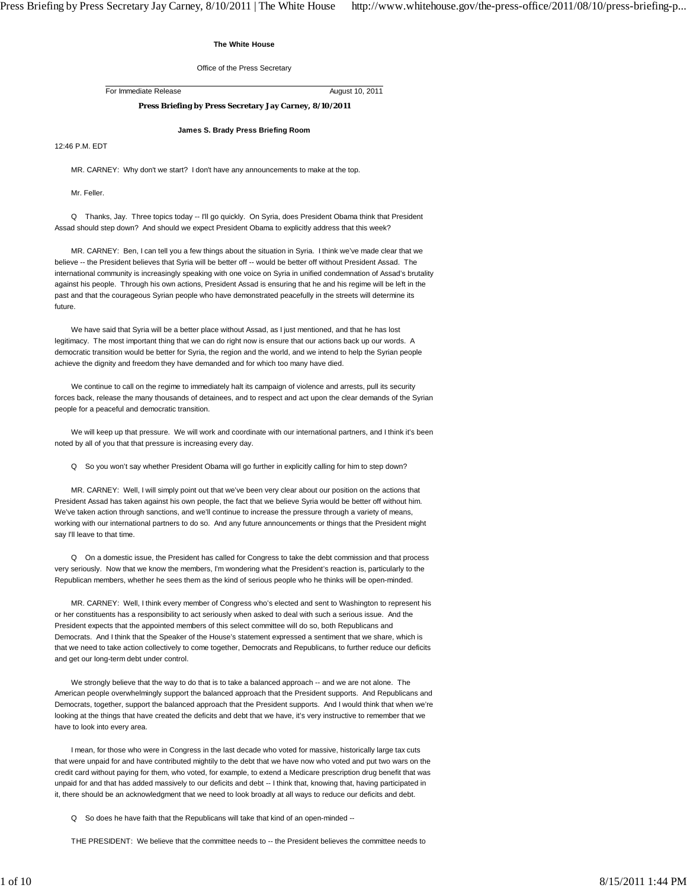## **The White House**

Office of the Press Secretary

For Immediate Release August 10, 2011

## **Press Briefing by Press Secretary Jay Carney, 8/10/2011**

**James S. Brady Press Briefing Room**

12:46 P.M. EDT

MR. CARNEY: Why don't we start? I don't have any announcements to make at the top.

Mr. Feller.

 Q Thanks, Jay. Three topics today -- I'll go quickly. On Syria, does President Obama think that President Assad should step down? And should we expect President Obama to explicitly address that this week?

 MR. CARNEY: Ben, I can tell you a few things about the situation in Syria. I think we've made clear that we believe -- the President believes that Syria will be better off -- would be better off without President Assad. The international community is increasingly speaking with one voice on Syria in unified condemnation of Assad's brutality against his people. Through his own actions, President Assad is ensuring that he and his regime will be left in the past and that the courageous Syrian people who have demonstrated peacefully in the streets will determine its future.

 We have said that Syria will be a better place without Assad, as I just mentioned, and that he has lost legitimacy. The most important thing that we can do right now is ensure that our actions back up our words. A democratic transition would be better for Syria, the region and the world, and we intend to help the Syrian people achieve the dignity and freedom they have demanded and for which too many have died.

 We continue to call on the regime to immediately halt its campaign of violence and arrests, pull its security forces back, release the many thousands of detainees, and to respect and act upon the clear demands of the Syrian people for a peaceful and democratic transition.

 We will keep up that pressure. We will work and coordinate with our international partners, and I think it's been noted by all of you that that pressure is increasing every day.

Q So you won't say whether President Obama will go further in explicitly calling for him to step down?

 MR. CARNEY: Well, I will simply point out that we've been very clear about our position on the actions that President Assad has taken against his own people, the fact that we believe Syria would be better off without him. We've taken action through sanctions, and we'll continue to increase the pressure through a variety of means, working with our international partners to do so. And any future announcements or things that the President might say I'll leave to that time.

 Q On a domestic issue, the President has called for Congress to take the debt commission and that process very seriously. Now that we know the members, I'm wondering what the President's reaction is, particularly to the Republican members, whether he sees them as the kind of serious people who he thinks will be open-minded.

 MR. CARNEY: Well, I think every member of Congress who's elected and sent to Washington to represent his or her constituents has a responsibility to act seriously when asked to deal with such a serious issue. And the President expects that the appointed members of this select committee will do so, both Republicans and Democrats. And I think that the Speaker of the House's statement expressed a sentiment that we share, which is that we need to take action collectively to come together, Democrats and Republicans, to further reduce our deficits and get our long-term debt under control.

 We strongly believe that the way to do that is to take a balanced approach -- and we are not alone. The American people overwhelmingly support the balanced approach that the President supports. And Republicans and Democrats, together, support the balanced approach that the President supports. And I would think that when we're looking at the things that have created the deficits and debt that we have, it's very instructive to remember that we have to look into every area.

 I mean, for those who were in Congress in the last decade who voted for massive, historically large tax cuts that were unpaid for and have contributed mightily to the debt that we have now who voted and put two wars on the credit card without paying for them, who voted, for example, to extend a Medicare prescription drug benefit that was unpaid for and that has added massively to our deficits and debt -- I think that, knowing that, having participated in it, there should be an acknowledgment that we need to look broadly at all ways to reduce our deficits and debt.

Q So does he have faith that the Republicans will take that kind of an open-minded --

THE PRESIDENT: We believe that the committee needs to -- the President believes the committee needs to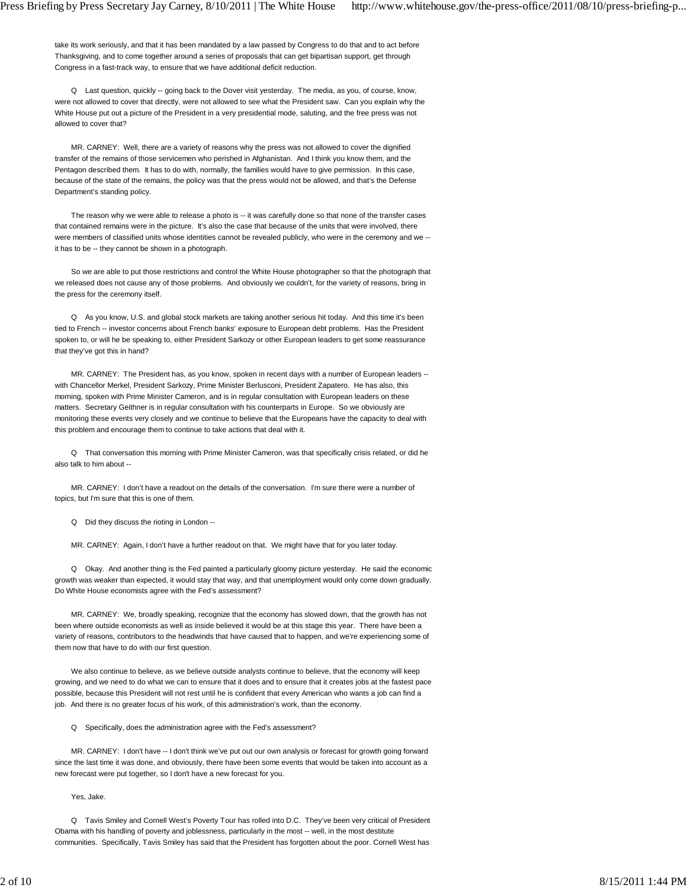take its work seriously, and that it has been mandated by a law passed by Congress to do that and to act before Thanksgiving, and to come together around a series of proposals that can get bipartisan support, get through Congress in a fast-track way, to ensure that we have additional deficit reduction.

 Q Last question, quickly -- going back to the Dover visit yesterday. The media, as you, of course, know, were not allowed to cover that directly, were not allowed to see what the President saw. Can you explain why the White House put out a picture of the President in a very presidential mode, saluting, and the free press was not allowed to cover that?

 MR. CARNEY: Well, there are a variety of reasons why the press was not allowed to cover the dignified transfer of the remains of those servicemen who perished in Afghanistan. And I think you know them, and the Pentagon described them. It has to do with, normally, the families would have to give permission. In this case, because of the state of the remains, the policy was that the press would not be allowed, and that's the Defense Department's standing policy.

 The reason why we were able to release a photo is -- it was carefully done so that none of the transfer cases that contained remains were in the picture. It's also the case that because of the units that were involved, there were members of classified units whose identities cannot be revealed publicly, who were in the ceremony and we -it has to be -- they cannot be shown in a photograph.

 So we are able to put those restrictions and control the White House photographer so that the photograph that we released does not cause any of those problems. And obviously we couldn't, for the variety of reasons, bring in the press for the ceremony itself.

 Q As you know, U.S. and global stock markets are taking another serious hit today. And this time it's been tied to French -- investor concerns about French banks' exposure to European debt problems. Has the President spoken to, or will he be speaking to, either President Sarkozy or other European leaders to get some reassurance that they've got this in hand?

MR. CARNEY: The President has, as you know, spoken in recent days with a number of European leaders -with Chancellor Merkel, President Sarkozy, Prime Minister Berlusconi, President Zapatero. He has also, this morning, spoken with Prime Minister Cameron, and is in regular consultation with European leaders on these matters. Secretary Geithner is in regular consultation with his counterparts in Europe. So we obviously are monitoring these events very closely and we continue to believe that the Europeans have the capacity to deal with this problem and encourage them to continue to take actions that deal with it.

 Q That conversation this morning with Prime Minister Cameron, was that specifically crisis related, or did he also talk to him about --

 MR. CARNEY: I don't have a readout on the details of the conversation. I'm sure there were a number of topics, but I'm sure that this is one of them.

Q Did they discuss the rioting in London --

MR. CARNEY: Again, I don't have a further readout on that. We might have that for you later today.

 Q Okay. And another thing is the Fed painted a particularly gloomy picture yesterday. He said the economic growth was weaker than expected, it would stay that way, and that unemployment would only come down gradually. Do White House economists agree with the Fed's assessment?

 MR. CARNEY: We, broadly speaking, recognize that the economy has slowed down, that the growth has not been where outside economists as well as inside believed it would be at this stage this year. There have been a variety of reasons, contributors to the headwinds that have caused that to happen, and we're experiencing some of them now that have to do with our first question.

 We also continue to believe, as we believe outside analysts continue to believe, that the economy will keep growing, and we need to do what we can to ensure that it does and to ensure that it creates jobs at the fastest pace possible, because this President will not rest until he is confident that every American who wants a job can find a job. And there is no greater focus of his work, of this administration's work, than the economy.

Q Specifically, does the administration agree with the Fed's assessment?

MR. CARNEY: I don't have -- I don't think we've put out our own analysis or forecast for growth going forward since the last time it was done, and obviously, there have been some events that would be taken into account as a new forecast were put together, so I don't have a new forecast for you.

Yes, Jake.

 Q Tavis Smiley and Cornell West's Poverty Tour has rolled into D.C. They've been very critical of President Obama with his handling of poverty and joblessness, particularly in the most -- well, in the most destitute communities. Specifically, Tavis Smiley has said that the President has forgotten about the poor. Cornell West has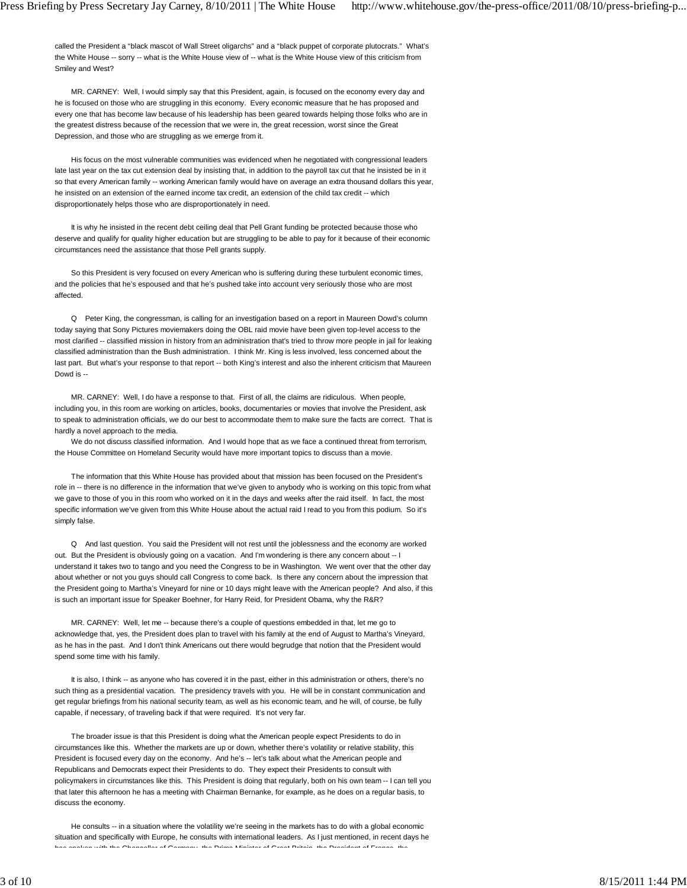called the President a "black mascot of Wall Street oligarchs" and a "black puppet of corporate plutocrats." What's the White House -- sorry -- what is the White House view of -- what is the White House view of this criticism from Smiley and West?

 MR. CARNEY: Well, I would simply say that this President, again, is focused on the economy every day and he is focused on those who are struggling in this economy. Every economic measure that he has proposed and every one that has become law because of his leadership has been geared towards helping those folks who are in the greatest distress because of the recession that we were in, the great recession, worst since the Great Depression, and those who are struggling as we emerge from it.

 His focus on the most vulnerable communities was evidenced when he negotiated with congressional leaders late last year on the tax cut extension deal by insisting that, in addition to the payroll tax cut that he insisted be in it so that every American family -- working American family would have on average an extra thousand dollars this year, he insisted on an extension of the earned income tax credit, an extension of the child tax credit -- which disproportionately helps those who are disproportionately in need.

 It is why he insisted in the recent debt ceiling deal that Pell Grant funding be protected because those who deserve and qualify for quality higher education but are struggling to be able to pay for it because of their economic circumstances need the assistance that those Pell grants supply.

 So this President is very focused on every American who is suffering during these turbulent economic times, and the policies that he's espoused and that he's pushed take into account very seriously those who are most affected.

 Q Peter King, the congressman, is calling for an investigation based on a report in Maureen Dowd's column today saying that Sony Pictures moviemakers doing the OBL raid movie have been given top-level access to the most clarified -- classified mission in history from an administration that's tried to throw more people in jail for leaking classified administration than the Bush administration. I think Mr. King is less involved, less concerned about the last part. But what's your response to that report -- both King's interest and also the inherent criticism that Maureen Dowd is --

 MR. CARNEY: Well, I do have a response to that. First of all, the claims are ridiculous. When people, including you, in this room are working on articles, books, documentaries or movies that involve the President, ask to speak to administration officials, we do our best to accommodate them to make sure the facts are correct. That is hardly a novel approach to the media.

 We do not discuss classified information. And I would hope that as we face a continued threat from terrorism, the House Committee on Homeland Security would have more important topics to discuss than a movie.

 The information that this White House has provided about that mission has been focused on the President's role in -- there is no difference in the information that we've given to anybody who is working on this topic from what we gave to those of you in this room who worked on it in the days and weeks after the raid itself. In fact, the most specific information we've given from this White House about the actual raid I read to you from this podium. So it's simply false.

 Q And last question. You said the President will not rest until the joblessness and the economy are worked out. But the President is obviously going on a vacation. And I'm wondering is there any concern about -- I understand it takes two to tango and you need the Congress to be in Washington. We went over that the other day about whether or not you guys should call Congress to come back. Is there any concern about the impression that the President going to Martha's Vineyard for nine or 10 days might leave with the American people? And also, if this is such an important issue for Speaker Boehner, for Harry Reid, for President Obama, why the R&R?

 MR. CARNEY: Well, let me -- because there's a couple of questions embedded in that, let me go to acknowledge that, yes, the President does plan to travel with his family at the end of August to Martha's Vineyard, as he has in the past. And I don't think Americans out there would begrudge that notion that the President would spend some time with his family.

It is also, I think -- as anyone who has covered it in the past, either in this administration or others, there's no such thing as a presidential vacation. The presidency travels with you. He will be in constant communication and get regular briefings from his national security team, as well as his economic team, and he will, of course, be fully capable, if necessary, of traveling back if that were required. It's not very far.

 The broader issue is that this President is doing what the American people expect Presidents to do in circumstances like this. Whether the markets are up or down, whether there's volatility or relative stability, this President is focused every day on the economy. And he's -- let's talk about what the American people and Republicans and Democrats expect their Presidents to do. They expect their Presidents to consult with policymakers in circumstances like this. This President is doing that regularly, both on his own team -- I can tell you that later this afternoon he has a meeting with Chairman Bernanke, for example, as he does on a regular basis, to discuss the economy.

 He consults -- in a situation where the volatility we're seeing in the markets has to do with a global economic situation and specifically with Europe, he consults with international leaders. As I just mentioned, in recent days he has spoken with the Chancellor of Germany the Prime Minister of Great Britain the President of France the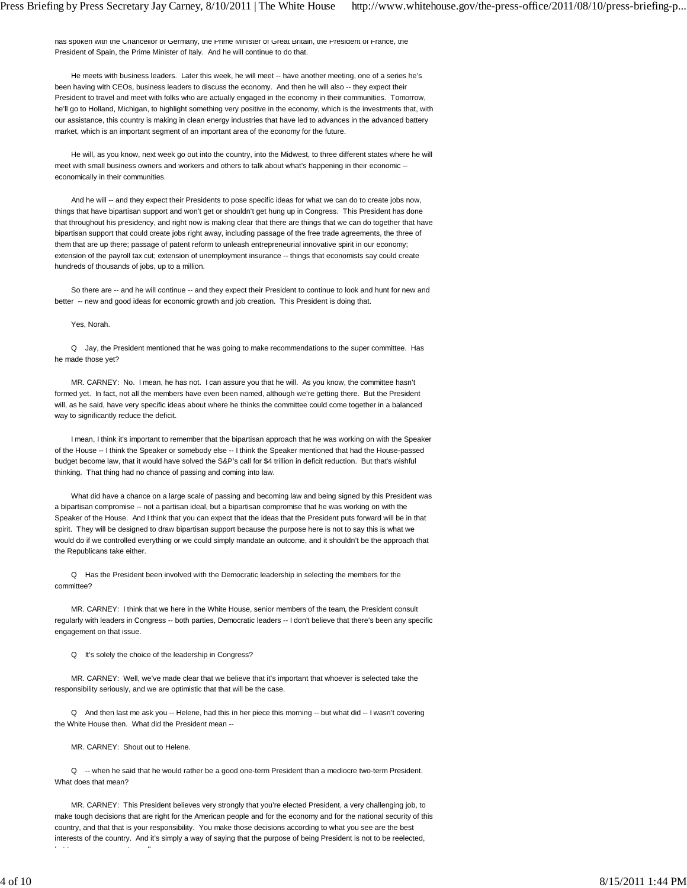has spoken with the Chancellor of Germany, the Prime Minister of Great Britain, the President of France, the President of Spain, the Prime Minister of Italy. And he will continue to do that.

 He meets with business leaders. Later this week, he will meet -- have another meeting, one of a series he's been having with CEOs, business leaders to discuss the economy. And then he will also -- they expect their President to travel and meet with folks who are actually engaged in the economy in their communities. Tomorrow, he'll go to Holland, Michigan, to highlight something very positive in the economy, which is the investments that, with our assistance, this country is making in clean energy industries that have led to advances in the advanced battery market, which is an important segment of an important area of the economy for the future.

 He will, as you know, next week go out into the country, into the Midwest, to three different states where he will meet with small business owners and workers and others to talk about what's happening in their economic - economically in their communities.

 And he will -- and they expect their Presidents to pose specific ideas for what we can do to create jobs now, things that have bipartisan support and won't get or shouldn't get hung up in Congress. This President has done that throughout his presidency, and right now is making clear that there are things that we can do together that have bipartisan support that could create jobs right away, including passage of the free trade agreements, the three of them that are up there; passage of patent reform to unleash entrepreneurial innovative spirit in our economy; extension of the payroll tax cut; extension of unemployment insurance -- things that economists say could create hundreds of thousands of jobs, up to a million.

 So there are -- and he will continue -- and they expect their President to continue to look and hunt for new and better -- new and good ideas for economic growth and job creation. This President is doing that.

## Yes, Norah.

 Q Jay, the President mentioned that he was going to make recommendations to the super committee. Has he made those yet?

 MR. CARNEY: No. I mean, he has not. I can assure you that he will. As you know, the committee hasn't formed yet. In fact, not all the members have even been named, although we're getting there. But the President will, as he said, have very specific ideas about where he thinks the committee could come together in a balanced way to significantly reduce the deficit.

 I mean, I think it's important to remember that the bipartisan approach that he was working on with the Speaker of the House -- I think the Speaker or somebody else -- I think the Speaker mentioned that had the House-passed budget become law, that it would have solved the S&P's call for \$4 trillion in deficit reduction. But that's wishful thinking. That thing had no chance of passing and coming into law.

 What did have a chance on a large scale of passing and becoming law and being signed by this President was a bipartisan compromise -- not a partisan ideal, but a bipartisan compromise that he was working on with the Speaker of the House. And I think that you can expect that the ideas that the President puts forward will be in that spirit. They will be designed to draw bipartisan support because the purpose here is not to say this is what we would do if we controlled everything or we could simply mandate an outcome, and it shouldn't be the approach that the Republicans take either.

 Q Has the President been involved with the Democratic leadership in selecting the members for the committee?

 MR. CARNEY: I think that we here in the White House, senior members of the team, the President consult regularly with leaders in Congress -- both parties, Democratic leaders -- I don't believe that there's been any specific engagement on that issue.

Q It's solely the choice of the leadership in Congress?

 MR. CARNEY: Well, we've made clear that we believe that it's important that whoever is selected take the responsibility seriously, and we are optimistic that that will be the case.

 Q And then last me ask you -- Helene, had this in her piece this morning -- but what did -- I wasn't covering the White House then. What did the President mean --

MR. CARNEY: Shout out to Helene.

 Q -- when he said that he would rather be a good one-term President than a mediocre two-term President. What does that mean?

 MR. CARNEY: This President believes very strongly that you're elected President, a very challenging job, to make tough decisions that are right for the American people and for the economy and for the national security of this country, and that that is your responsibility. You make those decisions according to what you see are the best interests of the country. And it's simply a way of saying that the purpose of being President is not to be reelected,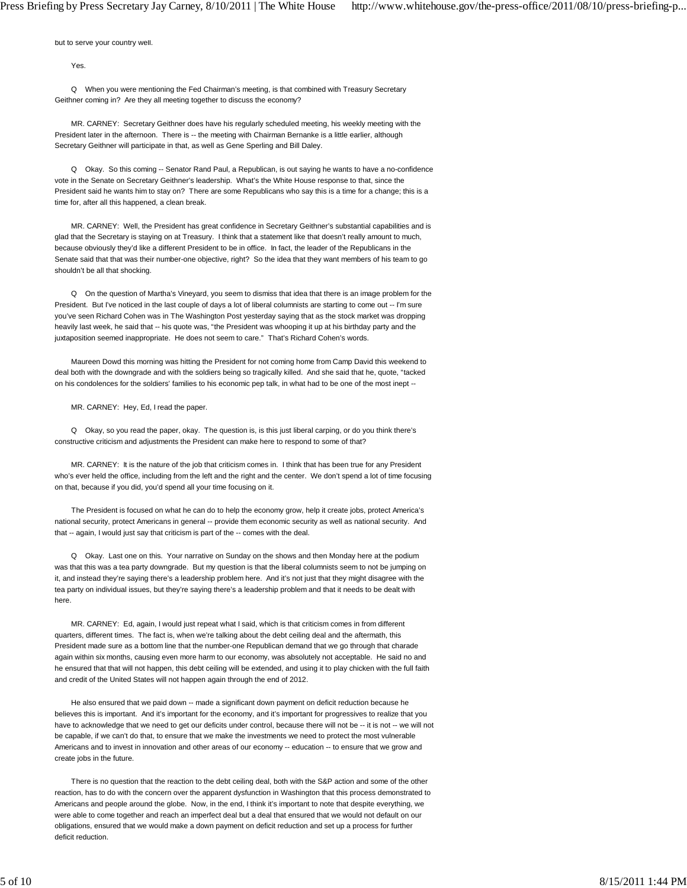but to serve your country well.

Yes.

 Q When you were mentioning the Fed Chairman's meeting, is that combined with Treasury Secretary Geithner coming in? Are they all meeting together to discuss the economy?

 MR. CARNEY: Secretary Geithner does have his regularly scheduled meeting, his weekly meeting with the President later in the afternoon. There is -- the meeting with Chairman Bernanke is a little earlier, although Secretary Geithner will participate in that, as well as Gene Sperling and Bill Daley.

 Q Okay. So this coming -- Senator Rand Paul, a Republican, is out saying he wants to have a no-confidence vote in the Senate on Secretary Geithner's leadership. What's the White House response to that, since the President said he wants him to stay on? There are some Republicans who say this is a time for a change; this is a time for, after all this happened, a clean break.

 MR. CARNEY: Well, the President has great confidence in Secretary Geithner's substantial capabilities and is glad that the Secretary is staying on at Treasury. I think that a statement like that doesn't really amount to much, because obviously they'd like a different President to be in office. In fact, the leader of the Republicans in the Senate said that that was their number-one objective, right? So the idea that they want members of his team to go shouldn't be all that shocking.

 Q On the question of Martha's Vineyard, you seem to dismiss that idea that there is an image problem for the President. But I've noticed in the last couple of days a lot of liberal columnists are starting to come out -- I'm sure you've seen Richard Cohen was in The Washington Post yesterday saying that as the stock market was dropping heavily last week, he said that -- his quote was, "the President was whooping it up at his birthday party and the juxtaposition seemed inappropriate. He does not seem to care." That's Richard Cohen's words.

 Maureen Dowd this morning was hitting the President for not coming home from Camp David this weekend to deal both with the downgrade and with the soldiers being so tragically killed. And she said that he, quote, "tacked on his condolences for the soldiers' families to his economic pep talk, in what had to be one of the most inept --

MR. CARNEY: Hey, Ed, I read the paper.

 Q Okay, so you read the paper, okay. The question is, is this just liberal carping, or do you think there's constructive criticism and adjustments the President can make here to respond to some of that?

 MR. CARNEY: It is the nature of the job that criticism comes in. I think that has been true for any President who's ever held the office, including from the left and the right and the center. We don't spend a lot of time focusing on that, because if you did, you'd spend all your time focusing on it.

 The President is focused on what he can do to help the economy grow, help it create jobs, protect America's national security, protect Americans in general -- provide them economic security as well as national security. And that -- again, I would just say that criticism is part of the -- comes with the deal.

 Q Okay. Last one on this. Your narrative on Sunday on the shows and then Monday here at the podium was that this was a tea party downgrade. But my question is that the liberal columnists seem to not be jumping on it, and instead they're saying there's a leadership problem here. And it's not just that they might disagree with the tea party on individual issues, but they're saying there's a leadership problem and that it needs to be dealt with here.

 MR. CARNEY: Ed, again, I would just repeat what I said, which is that criticism comes in from different quarters, different times. The fact is, when we're talking about the debt ceiling deal and the aftermath, this President made sure as a bottom line that the number-one Republican demand that we go through that charade again within six months, causing even more harm to our economy, was absolutely not acceptable. He said no and he ensured that that will not happen, this debt ceiling will be extended, and using it to play chicken with the full faith and credit of the United States will not happen again through the end of 2012.

 He also ensured that we paid down -- made a significant down payment on deficit reduction because he believes this is important. And it's important for the economy, and it's important for progressives to realize that you have to acknowledge that we need to get our deficits under control, because there will not be -- it is not -- we will not be capable, if we can't do that, to ensure that we make the investments we need to protect the most vulnerable Americans and to invest in innovation and other areas of our economy -- education -- to ensure that we grow and create jobs in the future.

 There is no question that the reaction to the debt ceiling deal, both with the S&P action and some of the other reaction, has to do with the concern over the apparent dysfunction in Washington that this process demonstrated to Americans and people around the globe. Now, in the end, I think it's important to note that despite everything, we were able to come together and reach an imperfect deal but a deal that ensured that we would not default on our obligations, ensured that we would make a down payment on deficit reduction and set up a process for further deficit reduction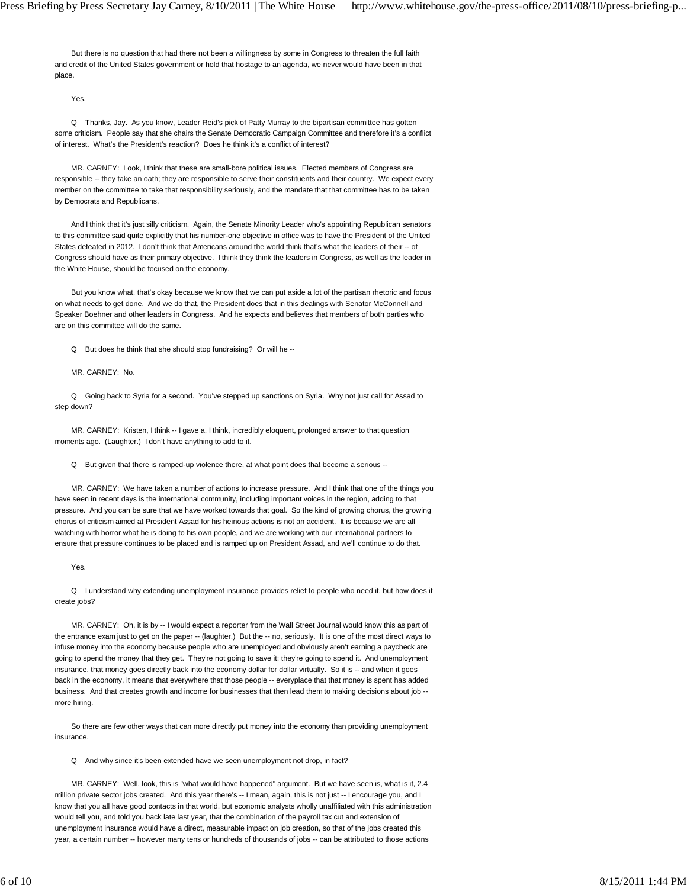But there is no question that had there not been a willingness by some in Congress to threaten the full faith and credit of the United States government or hold that hostage to an agenda, we never would have been in that place.

Yes.

 Q Thanks, Jay. As you know, Leader Reid's pick of Patty Murray to the bipartisan committee has gotten some criticism. People say that she chairs the Senate Democratic Campaign Committee and therefore it's a conflict of interest. What's the President's reaction? Does he think it's a conflict of interest?

 MR. CARNEY: Look, I think that these are small-bore political issues. Elected members of Congress are responsible -- they take an oath; they are responsible to serve their constituents and their country. We expect every member on the committee to take that responsibility seriously, and the mandate that that committee has to be taken by Democrats and Republicans.

 And I think that it's just silly criticism. Again, the Senate Minority Leader who's appointing Republican senators to this committee said quite explicitly that his number-one objective in office was to have the President of the United States defeated in 2012. I don't think that Americans around the world think that's what the leaders of their -- of Congress should have as their primary objective. I think they think the leaders in Congress, as well as the leader in the White House, should be focused on the economy.

 But you know what, that's okay because we know that we can put aside a lot of the partisan rhetoric and focus on what needs to get done. And we do that, the President does that in this dealings with Senator McConnell and Speaker Boehner and other leaders in Congress. And he expects and believes that members of both parties who are on this committee will do the same.

Q But does he think that she should stop fundraising? Or will he --

MR. CARNEY: No.

 Q Going back to Syria for a second. You've stepped up sanctions on Syria. Why not just call for Assad to step down?

 MR. CARNEY: Kristen, I think -- I gave a, I think, incredibly eloquent, prolonged answer to that question moments ago. (Laughter.) I don't have anything to add to it.

Q But given that there is ramped-up violence there, at what point does that become a serious --

 MR. CARNEY: We have taken a number of actions to increase pressure. And I think that one of the things you have seen in recent days is the international community, including important voices in the region, adding to that pressure. And you can be sure that we have worked towards that goal. So the kind of growing chorus, the growing chorus of criticism aimed at President Assad for his heinous actions is not an accident. It is because we are all watching with horror what he is doing to his own people, and we are working with our international partners to ensure that pressure continues to be placed and is ramped up on President Assad, and we'll continue to do that.

Yes.

 Q I understand why extending unemployment insurance provides relief to people who need it, but how does it create jobs?

 MR. CARNEY: Oh, it is by -- I would expect a reporter from the Wall Street Journal would know this as part of the entrance exam just to get on the paper -- (laughter.) But the -- no, seriously. It is one of the most direct ways to infuse money into the economy because people who are unemployed and obviously aren't earning a paycheck are going to spend the money that they get. They're not going to save it; they're going to spend it. And unemployment insurance, that money goes directly back into the economy dollar for dollar virtually. So it is -- and when it goes back in the economy, it means that everywhere that those people -- everyplace that that money is spent has added business. And that creates growth and income for businesses that then lead them to making decisions about job - more hiring.

 So there are few other ways that can more directly put money into the economy than providing unemployment insurance.

Q And why since it's been extended have we seen unemployment not drop, in fact?

 MR. CARNEY: Well, look, this is "what would have happened" argument. But we have seen is, what is it, 2.4 million private sector jobs created. And this year there's -- I mean, again, this is not just -- I encourage you, and I know that you all have good contacts in that world, but economic analysts wholly unaffiliated with this administration would tell you, and told you back late last year, that the combination of the payroll tax cut and extension of unemployment insurance would have a direct, measurable impact on job creation, so that of the jobs created this year, a certain number -- however many tens or hundreds of thousands of jobs -- can be attributed to those actions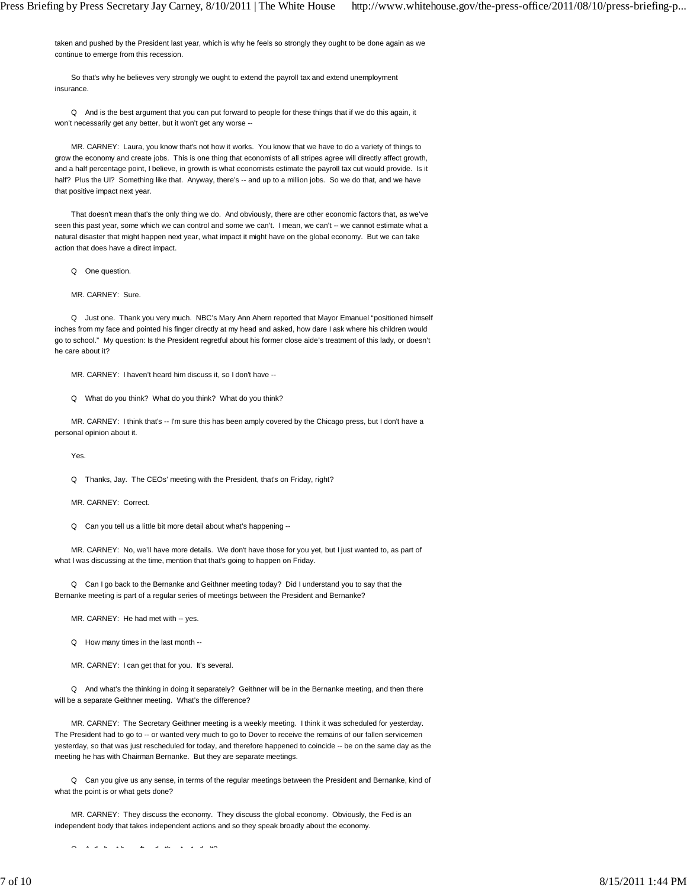taken and pushed by the President last year, which is why he feels so strongly they ought to be done again as we continue to emerge from this recession.

 So that's why he believes very strongly we ought to extend the payroll tax and extend unemployment insurance.

 Q And is the best argument that you can put forward to people for these things that if we do this again, it won't necessarily get any better, but it won't get any worse --

 MR. CARNEY: Laura, you know that's not how it works. You know that we have to do a variety of things to grow the economy and create jobs. This is one thing that economists of all stripes agree will directly affect growth, and a half percentage point, I believe, in growth is what economists estimate the payroll tax cut would provide. Is it half? Plus the UI? Something like that. Anyway, there's -- and up to a million jobs. So we do that, and we have that positive impact next year.

 That doesn't mean that's the only thing we do. And obviously, there are other economic factors that, as we've seen this past year, some which we can control and some we can't. I mean, we can't -- we cannot estimate what a natural disaster that might happen next year, what impact it might have on the global economy. But we can take action that does have a direct impact.

Q One question.

MR. CARNEY: Sure.

 Q Just one. Thank you very much. NBC's Mary Ann Ahern reported that Mayor Emanuel "positioned himself inches from my face and pointed his finger directly at my head and asked, how dare I ask where his children would go to school." My question: Is the President regretful about his former close aide's treatment of this lady, or doesn't he care about it?

MR. CARNEY: I haven't heard him discuss it, so I don't have --

Q What do you think? What do you think? What do you think?

 MR. CARNEY: I think that's -- I'm sure this has been amply covered by the Chicago press, but I don't have a personal opinion about it.

Yes.

Q Thanks, Jay. The CEOs' meeting with the President, that's on Friday, right?

MR. CARNEY: Correct.

Q Can you tell us a little bit more detail about what's happening --

 MR. CARNEY: No, we'll have more details. We don't have those for you yet, but I just wanted to, as part of what I was discussing at the time, mention that that's going to happen on Friday.

 Q Can I go back to the Bernanke and Geithner meeting today? Did I understand you to say that the Bernanke meeting is part of a regular series of meetings between the President and Bernanke?

MR. CARNEY: He had met with -- yes.

Q How many times in the last month --

MR. CARNEY: I can get that for you. It's several.

 Q And what's the thinking in doing it separately? Geithner will be in the Bernanke meeting, and then there will be a separate Geithner meeting. What's the difference?

 MR. CARNEY: The Secretary Geithner meeting is a weekly meeting. I think it was scheduled for yesterday. The President had to go to -- or wanted very much to go to Dover to receive the remains of our fallen servicemen yesterday, so that was just rescheduled for today, and therefore happened to coincide -- be on the same day as the meeting he has with Chairman Bernanke. But they are separate meetings.

 Q Can you give us any sense, in terms of the regular meetings between the President and Bernanke, kind of what the point is or what gets done?

 MR. CARNEY: They discuss the economy. They discuss the global economy. Obviously, the Fed is an independent body that takes independent actions and so they speak broadly about the economy.

A d b t h ft d t d t d it? The t d it d it d it d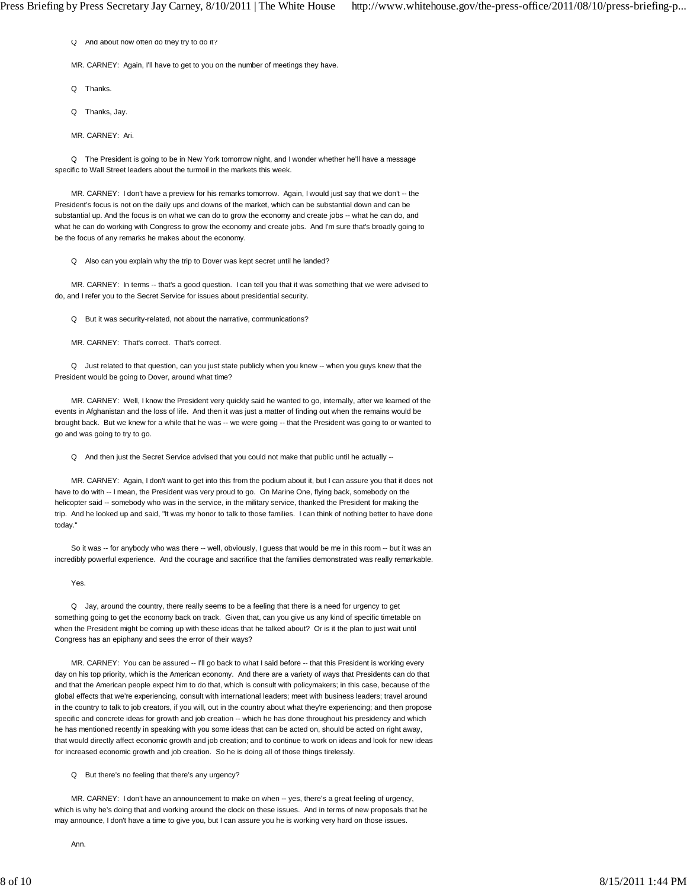Q And about how often do they try to do it?

MR. CARNEY: Again, I'll have to get to you on the number of meetings they have.

Q Thanks.

- Q Thanks, Jay.
- MR. CARNEY: Ari.

 Q The President is going to be in New York tomorrow night, and I wonder whether he'll have a message specific to Wall Street leaders about the turmoil in the markets this week.

MR. CARNEY: I don't have a preview for his remarks tomorrow. Again, I would just say that we don't -- the President's focus is not on the daily ups and downs of the market, which can be substantial down and can be substantial up. And the focus is on what we can do to grow the economy and create jobs -- what he can do, and what he can do working with Congress to grow the economy and create jobs. And I'm sure that's broadly going to be the focus of any remarks he makes about the economy.

Q Also can you explain why the trip to Dover was kept secret until he landed?

 MR. CARNEY: In terms -- that's a good question. I can tell you that it was something that we were advised to do, and I refer you to the Secret Service for issues about presidential security.

Q But it was security-related, not about the narrative, communications?

MR. CARNEY: That's correct. That's correct.

 Q Just related to that question, can you just state publicly when you knew -- when you guys knew that the President would be going to Dover, around what time?

 MR. CARNEY: Well, I know the President very quickly said he wanted to go, internally, after we learned of the events in Afghanistan and the loss of life. And then it was just a matter of finding out when the remains would be brought back. But we knew for a while that he was -- we were going -- that the President was going to or wanted to go and was going to try to go.

Q And then just the Secret Service advised that you could not make that public until he actually --

 MR. CARNEY: Again, I don't want to get into this from the podium about it, but I can assure you that it does not have to do with -- I mean, the President was very proud to go. On Marine One, flying back, somebody on the helicopter said -- somebody who was in the service, in the military service, thanked the President for making the trip. And he looked up and said, "It was my honor to talk to those families. I can think of nothing better to have done today."

So it was -- for anybody who was there -- well, obviously, I quess that would be me in this room -- but it was an incredibly powerful experience. And the courage and sacrifice that the families demonstrated was really remarkable.

Yes.

 Q Jay, around the country, there really seems to be a feeling that there is a need for urgency to get something going to get the economy back on track. Given that, can you give us any kind of specific timetable on when the President might be coming up with these ideas that he talked about? Or is it the plan to just wait until Congress has an epiphany and sees the error of their ways?

 MR. CARNEY: You can be assured -- I'll go back to what I said before -- that this President is working every day on his top priority, which is the American economy. And there are a variety of ways that Presidents can do that and that the American people expect him to do that, which is consult with policymakers; in this case, because of the global effects that we're experiencing, consult with international leaders; meet with business leaders; travel around in the country to talk to job creators, if you will, out in the country about what they're experiencing; and then propose specific and concrete ideas for growth and job creation -- which he has done throughout his presidency and which he has mentioned recently in speaking with you some ideas that can be acted on, should be acted on right away, that would directly affect economic growth and job creation; and to continue to work on ideas and look for new ideas for increased economic growth and job creation. So he is doing all of those things tirelessly.

Q But there's no feeling that there's any urgency?

MR. CARNEY: I don't have an announcement to make on when -- yes, there's a great feeling of urgency, which is why he's doing that and working around the clock on these issues. And in terms of new proposals that he may announce, I don't have a time to give you, but I can assure you he is working very hard on those issues.

Ann.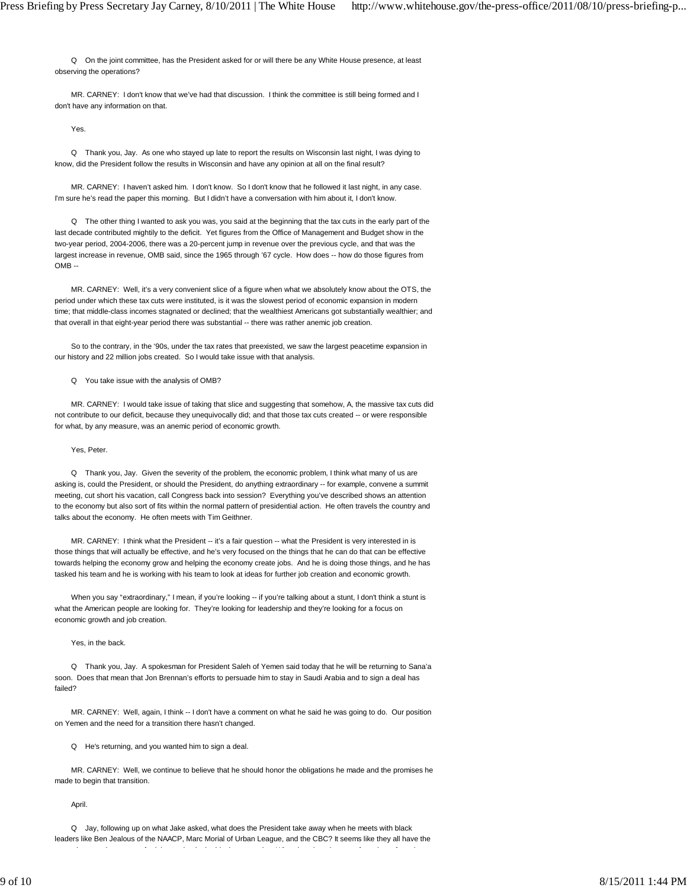Q On the joint committee, has the President asked for or will there be any White House presence, at least observing the operations?

 MR. CARNEY: I don't know that we've had that discussion. I think the committee is still being formed and I don't have any information on that.

Yes.

 Q Thank you, Jay. As one who stayed up late to report the results on Wisconsin last night, I was dying to know, did the President follow the results in Wisconsin and have any opinion at all on the final result?

 MR. CARNEY: I haven't asked him. I don't know. So I don't know that he followed it last night, in any case. I'm sure he's read the paper this morning. But I didn't have a conversation with him about it, I don't know.

 Q The other thing I wanted to ask you was, you said at the beginning that the tax cuts in the early part of the last decade contributed mightily to the deficit. Yet figures from the Office of Management and Budget show in the two-year period, 2004-2006, there was a 20-percent jump in revenue over the previous cycle, and that was the largest increase in revenue, OMB said, since the 1965 through '67 cycle. How does -- how do those figures from OMB --

 MR. CARNEY: Well, it's a very convenient slice of a figure when what we absolutely know about the OTS, the period under which these tax cuts were instituted, is it was the slowest period of economic expansion in modern time; that middle-class incomes stagnated or declined; that the wealthiest Americans got substantially wealthier; and that overall in that eight-year period there was substantial -- there was rather anemic job creation.

 So to the contrary, in the '90s, under the tax rates that preexisted, we saw the largest peacetime expansion in our history and 22 million jobs created. So I would take issue with that analysis.

Q You take issue with the analysis of OMB?

 MR. CARNEY: I would take issue of taking that slice and suggesting that somehow, A, the massive tax cuts did not contribute to our deficit, because they unequivocally did; and that those tax cuts created -- or were responsible for what, by any measure, was an anemic period of economic growth.

Yes, Peter.

 Q Thank you, Jay. Given the severity of the problem, the economic problem, I think what many of us are asking is, could the President, or should the President, do anything extraordinary -- for example, convene a summit meeting, cut short his vacation, call Congress back into session? Everything you've described shows an attention to the economy but also sort of fits within the normal pattern of presidential action. He often travels the country and talks about the economy. He often meets with Tim Geithner.

MR. CARNEY: I think what the President -- it's a fair question -- what the President is very interested in is those things that will actually be effective, and he's very focused on the things that he can do that can be effective towards helping the economy grow and helping the economy create jobs. And he is doing those things, and he has tasked his team and he is working with his team to look at ideas for further job creation and economic growth.

When you say "extraordinary," I mean, if you're looking -- if you're talking about a stunt, I don't think a stunt is what the American people are looking for. They're looking for leadership and they're looking for a focus on economic growth and job creation.

Yes, in the back.

 Q Thank you, Jay. A spokesman for President Saleh of Yemen said today that he will be returning to Sana'a soon. Does that mean that Jon Brennan's efforts to persuade him to stay in Saudi Arabia and to sign a deal has failed?

 MR. CARNEY: Well, again, I think -- I don't have a comment on what he said he was going to do. Our position on Yemen and the need for a transition there hasn't changed.

Q He's returning, and you wanted him to sign a deal.

 MR. CARNEY: Well, we continue to believe that he should honor the obligations he made and the promises he made to begin that transition.

April.

 Q Jay, following up on what Jake asked, what does the President take away when he meets with black leaders like Ben Jealous of the NAACP, Marc Morial of Urban League, and the CBC? It seems like they all have the h h f j b i h bl k i h bl k i h bl k i h bl k i med han f han f han f han f han f han f han f han f